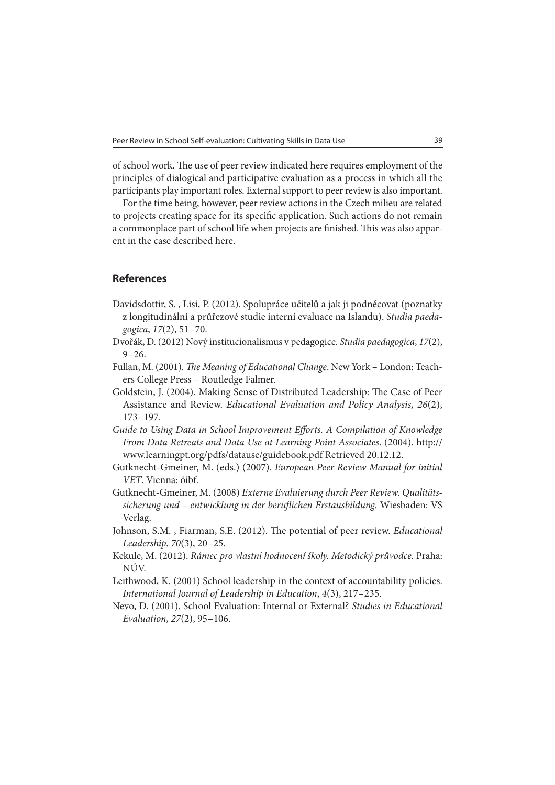of school work. The use of peer review indicated here requires employment of the principles of dialogical and participative evaluation as a process in which all the participants play important roles. External support to peer review is also important.

For the time being, however, peer review actions in the Czech milieu are related to projects creating space for its specific application. Such actions do not remain a commonplace part of school life when projects are finished. This was also apparent in the case described here.

## **References**

- Davidsdottir, S. , Lisi, P. (2012). Spolupráce učitelů a jak ji podněcovat (poznatky z longitudinální a průřezové studie interní evaluace na Islandu). Studia paedagogica, 17(2), 51 – 70.
- Dvořák, D. (2012) Nový institucionalismus v pedagogice. Studia paedagogica, 17(2),  $9 - 26.$
- Fullan, M. (2001). The Meaning of Educational Change. New York London: Teachers College Press – Routledge Falmer.
- Goldstein, J. (2004). Making Sense of Distributed Leadership: The Case of Peer Assistance and Review. Educational Evaluation and Policy Analysis, 26(2), 173 – 197.
- Guide to Using Data in School Improvement Efforts. A Compilation of Knowledge From Data Retreats and Data Use at Learning Point Associates. (2004). http:// www.learningpt.org/pdfs/datause/guidebook.pdf Retrieved 20.12.12.
- Gutknecht-Gmeiner, M. (eds.) (2007). European Peer Review Manual for initial VET. Vienna: öibf.
- Gutknecht-Gmeiner, M. (2008) Externe Evaluierung durch Peer Review. Qualitätssicherung und - entwicklung in der beruflichen Erstausbildung. Wiesbaden: VS Verlag.
- Johnson, S.M., Fiarman, S.E. (2012). The potential of peer review. *Educational* Leadership, 70(3), 20 – 25.
- Kekule, M. (2012). Rámec pro vlastní hodnocení školy. Metodický průvodce. Praha: NÚV.
- Leithwood, K. (2001) School leadership in the context of accountability policies. International Journal of Leadership in Education, 4(3), 217 – 235.
- Nevo, D. (2001). School Evaluation: Internal or External? Studies in Educational Evaluation, 27(2), 95 – 106.